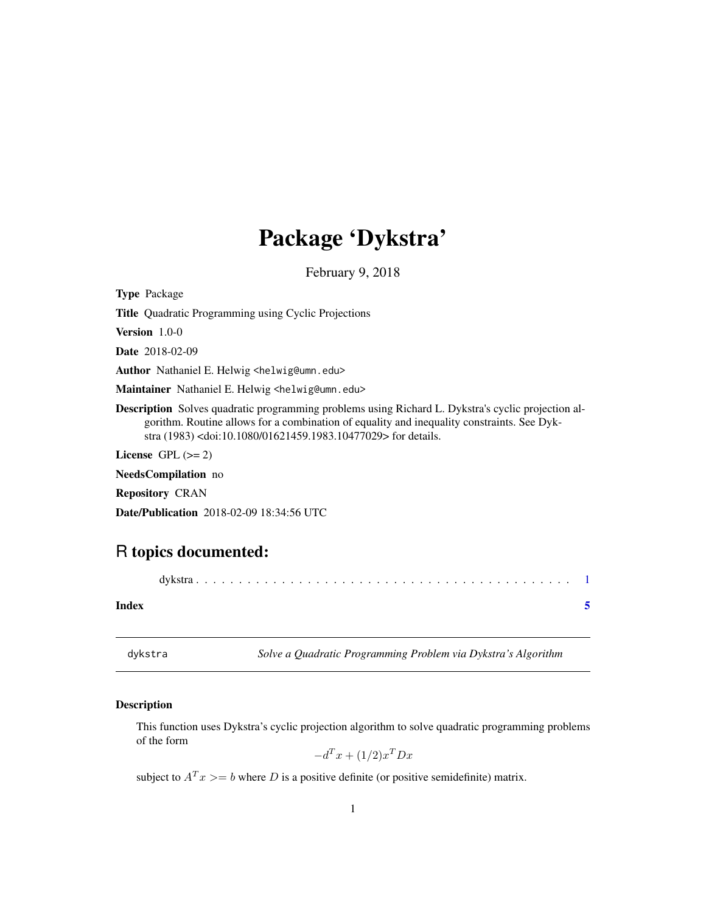## <span id="page-0-0"></span>Package 'Dykstra'

February 9, 2018

<span id="page-0-2"></span>Type Package

Title Quadratic Programming using Cyclic Projections

Version 1.0-0

Date 2018-02-09

Author Nathaniel E. Helwig <helwig@umn.edu>

Maintainer Nathaniel E. Helwig <helwig@umn.edu>

Description Solves quadratic programming problems using Richard L. Dykstra's cyclic projection algorithm. Routine allows for a combination of equality and inequality constraints. See Dykstra (1983) <doi:10.1080/01621459.1983.10477029> for details.

License GPL  $(>= 2)$ 

NeedsCompilation no

Repository CRAN

Date/Publication 2018-02-09 18:34:56 UTC

### R topics documented:

| Index |  |
|-------|--|

<span id="page-0-1"></span>

dykstra *Solve a Quadratic Programming Problem via Dykstra's Algorithm*

#### Description

This function uses Dykstra's cyclic projection algorithm to solve quadratic programming problems of the form

 $-d^T x + (1/2)x^T Dx$ 

subject to  $A<sup>T</sup> x >= b$  where D is a positive definite (or positive semidefinite) matrix.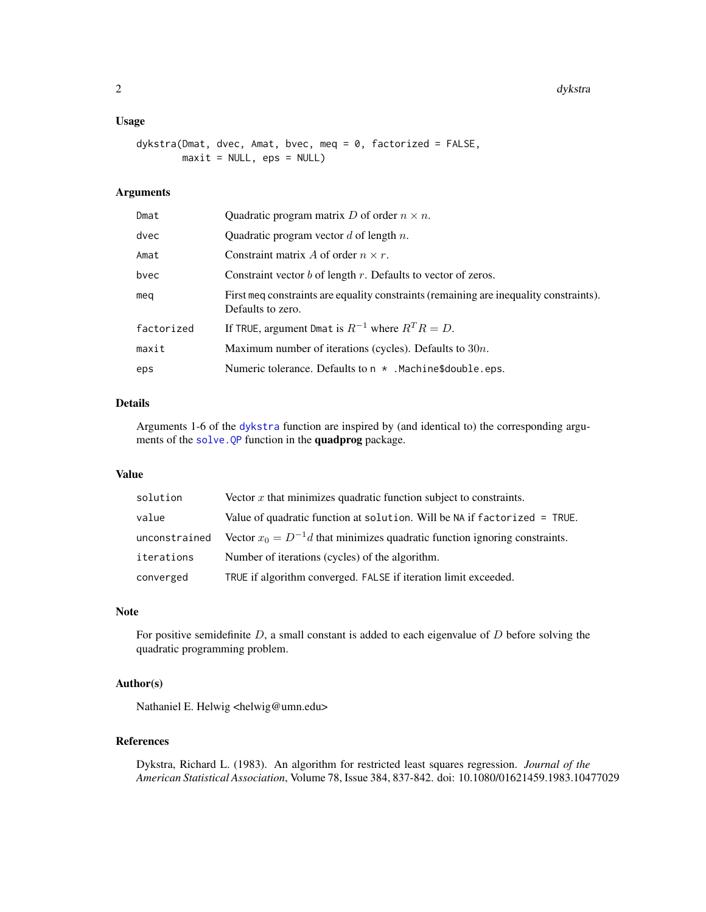#### <span id="page-1-0"></span>Usage

```
dykstra(Dmat, dvec, Amat, bvec, meq = 0, factorized = FALSE,
        maxit = NULL, eps = NULL)
```
#### Arguments

| Dmat       | Quadratic program matrix D of order $n \times n$ .                                                          |
|------------|-------------------------------------------------------------------------------------------------------------|
| dvec       | Quadratic program vector $d$ of length $n$ .                                                                |
| Amat       | Constraint matrix A of order $n \times r$ .                                                                 |
| bvec       | Constraint vector $b$ of length $r$ . Defaults to vector of zeros.                                          |
| mea        | First meg constraints are equality constraints (remaining are inequality constraints).<br>Defaults to zero. |
| factorized | If TRUE, argument Dmat is $R^{-1}$ where $R^{T}R = D$ .                                                     |
| maxit      | Maximum number of iterations (cycles). Defaults to $30n$ .                                                  |
| eps        | Numeric tolerance. Defaults to $n \times$ . Machine\$double.eps.                                            |

#### Details

Arguments 1-6 of the [dykstra](#page-0-1) function are inspired by (and identical to) the corresponding arguments of the [solve.QP](#page-0-2) function in the quadprog package.

#### Value

| solution      | Vector $x$ that minimizes quadratic function subject to constraints.           |
|---------------|--------------------------------------------------------------------------------|
| value         | Value of quadratic function at solution. Will be NA if factorized = TRUE.      |
| unconstrained | Vector $x_0 = D^{-1}d$ that minimizes quadratic function ignoring constraints. |
| iterations    | Number of iterations (cycles) of the algorithm.                                |
| converged     | TRUE if algorithm converged. FALSE if iteration limit exceeded.                |

#### Note

For positive semidefinite  $D$ , a small constant is added to each eigenvalue of  $D$  before solving the quadratic programming problem.

#### Author(s)

Nathaniel E. Helwig <helwig@umn.edu>

#### References

Dykstra, Richard L. (1983). An algorithm for restricted least squares regression. *Journal of the American Statistical Association*, Volume 78, Issue 384, 837-842. doi: 10.1080/01621459.1983.10477029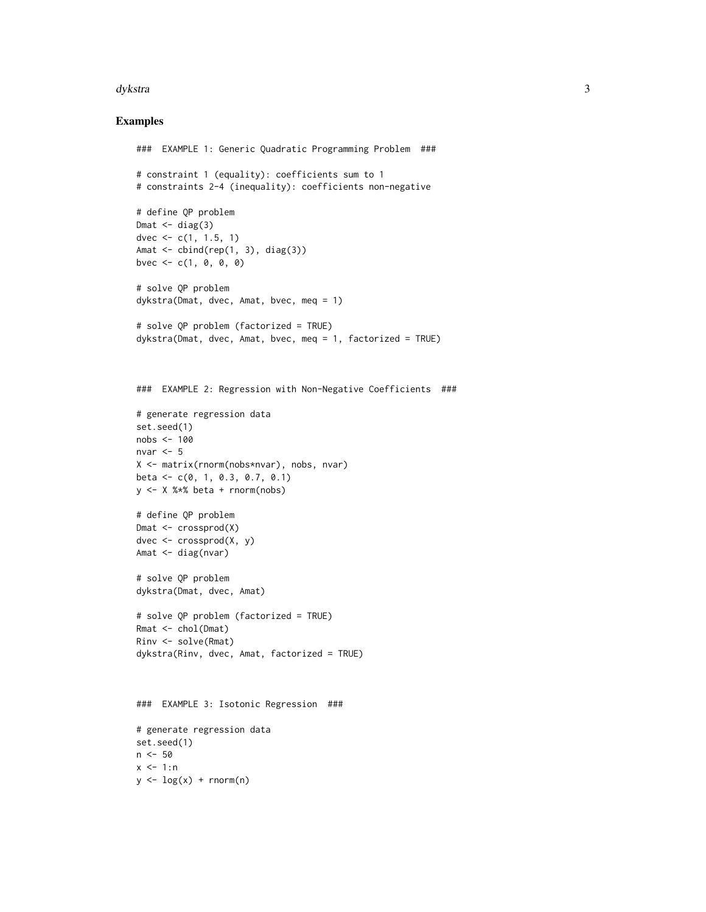#### dykstra 3

#### Examples

```
### EXAMPLE 1: Generic Quadratic Programming Problem ###
# constraint 1 (equality): coefficients sum to 1
# constraints 2-4 (inequality): coefficients non-negative
# define QP problem
Dmat \leq diag(3)
dvec \leq c(1, 1.5, 1)Amat <- cbind(rep(1, 3), diag(3))
bvec \leq -c(1, 0, 0, 0)# solve QP problem
dykstra(Dmat, dvec, Amat, bvec, meq = 1)
# solve QP problem (factorized = TRUE)
dykstra(Dmat, dvec, Amat, bvec, meq = 1, factorized = TRUE)
### EXAMPLE 2: Regression with Non-Negative Coefficients ###
# generate regression data
set.seed(1)
nobs <- 100
nvar <-5X <- matrix(rnorm(nobs*nvar), nobs, nvar)
beta <- c(0, 1, 0.3, 0.7, 0.1)
y <- X %*% beta + rnorm(nobs)
# define QP problem
Dmat <- crossprod(X)
dvec \leq crossprod(X, y)Amat <- diag(nvar)
# solve QP problem
dykstra(Dmat, dvec, Amat)
# solve QP problem (factorized = TRUE)
Rmat <- chol(Dmat)
Rinv <- solve(Rmat)
dykstra(Rinv, dvec, Amat, factorized = TRUE)
### EXAMPLE 3: Isotonic Regression ###
# generate regression data
set.seed(1)
n <- 50
x < -1:ny \leftarrow \log(x) + \text{rnorm}(n)
```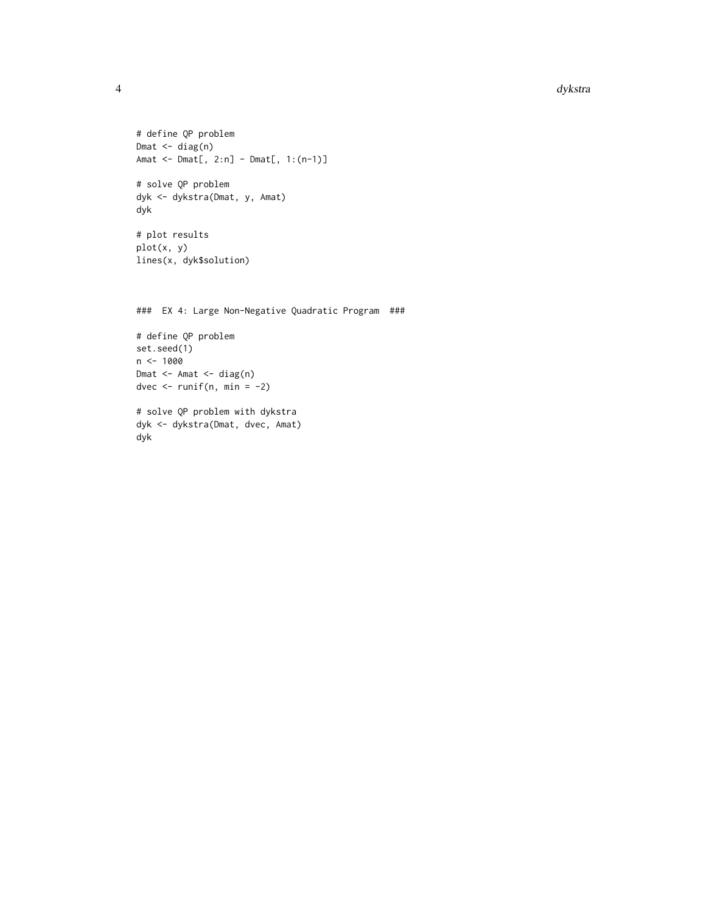```
# define QP problem
Dmat <- diag(n)
Amat <- Dmat[, 2:n] - Dmat[, 1:(n-1)]
# solve QP problem
dyk <- dykstra(Dmat, y, Amat)
dyk
# plot results
plot(x, y)
lines(x, dyk$solution)
### EX 4: Large Non-Negative Quadratic Program ###
# define QP problem
set.seed(1)
n < - 1000Dmat <- Amat <- diag(n)
dvec \le runif(n, min = -2)
```

```
# solve QP problem with dykstra
dyk <- dykstra(Dmat, dvec, Amat)
dyk
```